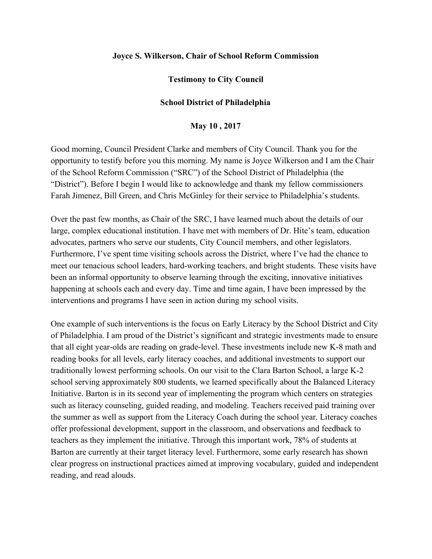## **Joyce S. Wilkerson, Chair of School Reform Commission**

## **Testimony to City Council**

## **School District of Philadelphia**

## **May 10 , 2017**

Good morning, Council President Clarke and members of City Council. Thank you for the opportunity to testify before you this morning. My name is Joyce Wilkerson and I am the Chair of the School Reform Commission ("SRC") of the School District of Philadelphia (the "District"). Before I begin I would like to acknowledge and thank my fellow commissioners Farah Jimenez, Bill Green, and Chris McGinley for their service to Philadelphia's students.

Over the past few months, as Chair of the SRC, I have learned much about the details of our large, complex educational institution. I have met with members of Dr. Hite's team, education advocates, partners who serve our students, City Council members, and other legislators. Furthermore, I've spent time visiting schools across the District, where I've had the chance to meet our tenacious school leaders, hard-working teachers, and bright students. These visits have been an informal opportunity to observe learning through the exciting, innovative initiatives happening at schools each and every day. Time and time again, I have been impressed by the interventions and programs I have seen in action during my school visits.

One example of such interventions is the focus on Early Literacy by the School District and City of Philadelphia. I am proud of the District's significant and strategic investments made to ensure that all eight year-olds are reading on grade-level. These investments include new K-8 math and reading books for all levels, early literacy coaches, and additional investments to support our traditionally lowest performing schools. On our visit to the Clara Barton School, a large K-2 school serving approximately 800 students, we learned specifically about the Balanced Literacy Initiative. Barton is in its second year of implementing the program which centers on strategies such as literacy counseling, guided reading, and modeling. Teachers received paid training over the summer as well as support from the Literacy Coach during the school year. Literacy coaches offer professional development, support in the classroom, and observations and feedback to teachers as they implement the initiative. Through this important work, 78% of students at Barton are currently at their target literacy level. Furthermore, some early research has shown clear progress on instructional practices aimed at improving vocabulary, guided and independent reading, and read alouds.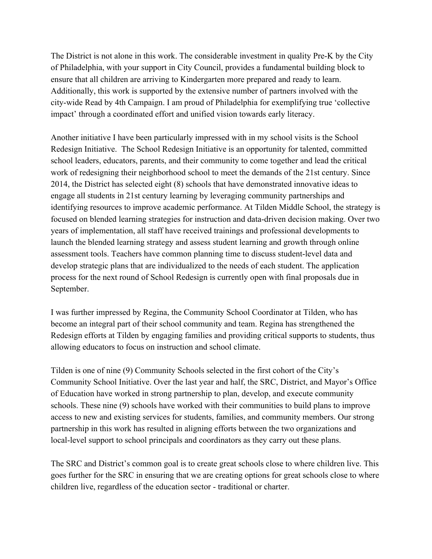The District is not alone in this work. The considerable investment in quality Pre-K by the City of Philadelphia, with your support in City Council, provides a fundamental building block to ensure that all children are arriving to Kindergarten more prepared and ready to learn. Additionally, this work is supported by the extensive number of partners involved with the city-wide Read by 4th Campaign. I am proud of Philadelphia for exemplifying true 'collective impact' through a coordinated effort and unified vision towards early literacy.

Another initiative I have been particularly impressed with in my school visits is the School Redesign Initiative. The School Redesign Initiative is an opportunity for talented, committed school leaders, educators, parents, and their community to come together and lead the critical work of redesigning their neighborhood school to meet the demands of the 21st century. Since 2014, the District has selected eight (8) schools that have demonstrated innovative ideas to engage all students in 21st century learning by leveraging community partnerships and identifying resources to improve academic performance. At Tilden Middle School, the strategy is focused on blended learning strategies for instruction and data-driven decision making. Over two years of implementation, all staff have received trainings and professional developments to launch the blended learning strategy and assess student learning and growth through online assessment tools. Teachers have common planning time to discuss student-level data and develop strategic plans that are individualized to the needs of each student. The application process for the next round of School Redesign is currently open with final proposals due in September.

I was further impressed by Regina, the Community School Coordinator at Tilden, who has become an integral part of their school community and team. Regina has strengthened the Redesign efforts at Tilden by engaging families and providing critical supports to students, thus allowing educators to focus on instruction and school climate.

Tilden is one of nine (9) Community Schools selected in the first cohort of the City's Community School Initiative. Over the last year and half, the SRC, District, and Mayor's Office of Education have worked in strong partnership to plan, develop, and execute community schools. These nine (9) schools have worked with their communities to build plans to improve access to new and existing services for students, families, and community members. Our strong partnership in this work has resulted in aligning efforts between the two organizations and local-level support to school principals and coordinators as they carry out these plans.

The SRC and District's common goal is to create great schools close to where children live. This goes further for the SRC in ensuring that we are creating options for great schools close to where children live, regardless of the education sector - traditional or charter.